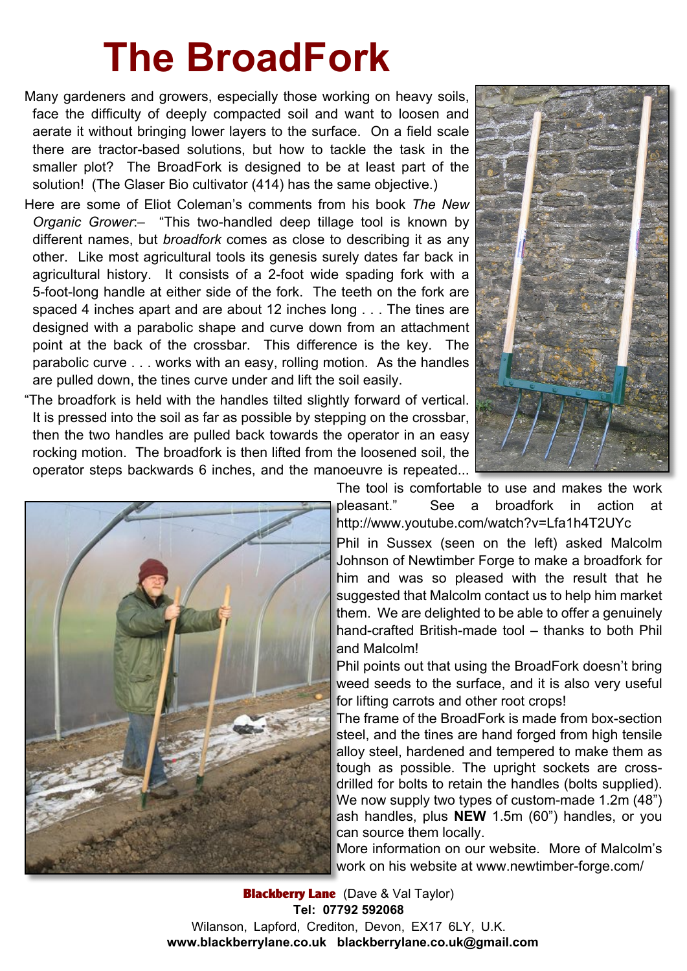## **The BroadFork**

Many gardeners and growers, especially those working on heavy soils, face the difficulty of deeply compacted soil and want to loosen and aerate it without bringing lower layers to the surface. On a field scale there are tractor-based solutions, but how to tackle the task in the smaller plot? The BroadFork is designed to be at least part of the solution! (The Glaser Bio cultivator (414) has the same objective.)

Here are some of Eliot Coleman's comments from his book *The New Organic Grower*:– "This two-handled deep tillage tool is known by different names, but *broadfork* comes as close to describing it as any other. Like most agricultural tools its genesis surely dates far back in agricultural history. It consists of a 2-foot wide spading fork with a 5-foot-long handle at either side of the fork. The teeth on the fork are spaced 4 inches apart and are about 12 inches long . . . The tines are designed with a parabolic shape and curve down from an attachment point at the back of the crossbar. This difference is the key. The parabolic curve . . . works with an easy, rolling motion. As the handles are pulled down, the tines curve under and lift the soil easily.

"The broadfork is held with the handles tilted slightly forward of vertical. It is pressed into the soil as far as possible by stepping on the crossbar, then the two handles are pulled back towards the operator in an easy rocking motion. The broadfork is then lifted from the loosened soil, the operator steps backwards 6 inches, and the manoeuvre is repeated...





The tool is comfortable to use and makes the work pleasant." See a broadfork in action at http://www.youtube.com/watch?v=Lfa1h4T2UYc Phil in Sussex (seen on the left) asked Malcolm Johnson of Newtimber Forge to make a broadfork for him and was so pleased with the result that he suggested that Malcolm contact us to help him market them. We are delighted to be able to offer a genuinely hand-crafted British-made tool – thanks to both Phil and Malcolm!

Phil points out that using the BroadFork doesn't bring weed seeds to the surface, and it is also very useful for lifting carrots and other root crops!

The frame of the BroadFork is made from box-section steel, and the tines are hand forged from high tensile alloy steel, hardened and tempered to make them as tough as possible. The upright sockets are crossdrilled for bolts to retain the handles (bolts supplied). We now supply two types of custom-made 1.2m (48") ash handles, plus **NEW** 1.5m (60") handles, or you can source them locally.

More information on our website. More of Malcolm's work on his website at www.newtimber-forge.com/

**Blackberry Lane** (Dave & Val Taylor) **Tel: 07792 592068** Wilanson, Lapford, Crediton, Devon, EX17 6LY, U.K. **www.blackberrylane.co.uk blackberrylane.co.uk@gmail.com**